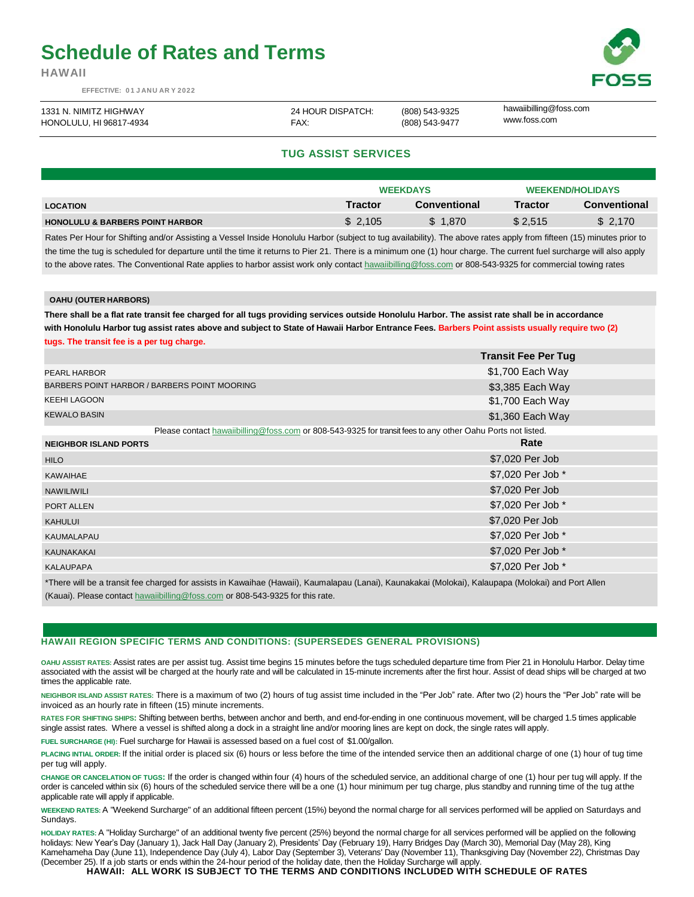# **Schedule of Rates and Terms**

**HAWAII**

**EFFECTIVE: 0 1 J ANU AR Y 2022**



| 1331 N. NIMITZ HIGHWAY  | 24 HOUR DISPATCH: | (808) 543-9325 | hawaiibilling@foss.com |
|-------------------------|-------------------|----------------|------------------------|
| HONOLULU, HI 96817-4934 | FAX:              | (808) 543-9477 | www.foss.com           |

## **TUG ASSIST SERVICES**

|                                            |                | <b>WEEKDAYS</b>     |                | <b>WEEKEND/HOLIDAYS</b> |
|--------------------------------------------|----------------|---------------------|----------------|-------------------------|
| <b>LOCATION</b>                            | <b>Tractor</b> | <b>Conventional</b> | <b>Tractor</b> | <b>Conventional</b>     |
| <b>HONOLULU &amp; BARBERS POINT HARBOR</b> | \$2.105        | \$1.870             | \$2.515        | \$ 2.170                |
|                                            |                |                     |                |                         |

Rates Per Hour for Shifting and/or Assisting a Vessel Inside Honolulu Harbor (subject to tug availability). The above rates apply from fifteen (15) minutes prior to the time the tug is scheduled for departure until the time it returns to Pier 21. There is a minimum one (1) hour charge. The current fuel surcharge will also apply to the above rates. The Conventional Rate applies to harbor assist work only contac[t hawaiibilling@foss.com](mailto:hawaiibilling@foss.com) or 808-543-9325 for commercial towing rates

#### **OAHU (OUTER HARBORS)**

**There shall be a flat rate transit fee charged for all tugs providing services outside Honolulu Harbor. The assist rate shall be in accordance**  with Honolulu Harbor tug assist rates above and subject to State of Hawaii Harbor Entrance Fees. Barbers Point assists usually require two (2) **tugs. The transit fee is a per tug charge.**

|                                                                                                                                         | <b>Transit Fee Per Tug</b> |  |  |  |
|-----------------------------------------------------------------------------------------------------------------------------------------|----------------------------|--|--|--|
| PEARL HARBOR                                                                                                                            | \$1,700 Each Way           |  |  |  |
| BARBERS POINT HARBOR / BARBERS POINT MOORING                                                                                            | \$3,385 Each Way           |  |  |  |
| <b>KEEHI LAGOON</b>                                                                                                                     | \$1,700 Each Way           |  |  |  |
| <b>KEWALO BASIN</b>                                                                                                                     | \$1,360 Each Way           |  |  |  |
| Please contact hawaiibilling@foss.com or 808-543-9325 for transit fees to any other Oahu Ports not listed.                              |                            |  |  |  |
| <b>NEIGHBOR ISLAND PORTS</b>                                                                                                            | Rate                       |  |  |  |
| <b>HILO</b>                                                                                                                             | \$7,020 Per Job            |  |  |  |
| <b>KAWAIHAE</b>                                                                                                                         | \$7,020 Per Job *          |  |  |  |
| <b>NAWILIWILI</b>                                                                                                                       | \$7,020 Per Job            |  |  |  |
| PORT ALLEN                                                                                                                              | \$7,020 Per Job *          |  |  |  |
| <b>KAHULUI</b>                                                                                                                          | \$7,020 Per Job            |  |  |  |
| <b>KAUMALAPAU</b>                                                                                                                       | \$7,020 Per Job *          |  |  |  |
| KAUNAKAKAI                                                                                                                              | \$7,020 Per Job *          |  |  |  |
| <b>KALAUPAPA</b>                                                                                                                        | \$7,020 Per Job *          |  |  |  |
| *These will be a topositive shapped for accidents to themelical (throughplaces (through themelical (Matchell Matchelles) and Dant Allen |                            |  |  |  |

\*There will be a transit fee charged for assists in Kawaihae (Hawaii), Kaumalapau (Lanai), Kaunakakai (Molokai), Kalaupapa (Molokai) and Port Allen (Kauai). Please contact [hawaiibilling@foss.com](mailto:hawaiibilling@foss.com) or 808-543-9325 for this rate.

### **HAWAII REGION SPECIFIC TERMS AND CONDITIONS: (SUPERSEDES GENERAL PROVISIONS)**

**OAHU ASSIST RATES:** Assist rates are per assist tug. Assist time begins 15 minutes before the tugs scheduled departure time from Pier 21 in Honolulu Harbor. Delay time associated with the assist will be charged at the hourly rate and will be calculated in 15-minute increments after the first hour. Assist of dead ships will be charged at two times the applicable rate.

**NEIGHBOR ISLAND ASSIST RATES:** There is a maximum of two (2) hours of tug assist time included in the "Per Job" rate. After two (2) hours the "Per Job" rate will be invoiced as an hourly rate in fifteen (15) minute increments.

**RATES FOR SHIFTING SHIPS:** Shifting between berths, between anchor and berth, and end-for-ending in one continuous movement, will be charged 1.5 times applicable single assist rates. Where a vessel is shifted along a dock in a straight line and/or mooring lines are kept on dock, the single rates will apply.

**FUEL SURCHARGE (HI):** Fuel surcharge for Hawaii is assessed based on a fuel cost of \$1.00/gallon.

**PLACING INTIAL ORDER:** If the initial order is placed six (6) hours or less before the time of the intended service then an additional charge of one (1) hour of tug time per tug will apply.

**CHANGE OR CANCELATION OF TUGS:** If the order is changed within four (4) hours of the scheduled service, an additional charge of one (1) hour per tug will apply. If the order is canceled within six (6) hours of the scheduled service there will be a one (1) hour minimum per tug charge, plus standby and running time of the tug atthe applicable rate will apply if applicable.

**WEEKEND RATES:** A "Weekend Surcharge" of an additional fifteen percent (15%) beyond the normal charge for all services performed will be applied on Saturdays and Sundays.

**HOLIDAY RATES:** A "Holiday Surcharge" of an additional twenty five percent (25%) beyond the normal charge for all services performed will be applied on the following holidays: New Year's Day (January 1), Jack Hall Day (January 2), Presidents' Day (February 19), Harry Bridges Day (March 30), Memorial Day (May 28), King Kamehameha Day (June 11), Independence Day (July 4), Labor Day (September 3), Veterans' Day (November 11), Thanksgiving Day (November 22), Christmas Day

(December 25). If a job starts or ends within the 24-hour period of the holiday date, then the Holiday Surcharge will apply.<br>HAWAII: ALL WORK IS SUBJECT TO THE TERMS AND CONDITIONS INCLUDED WITH SCHEDULE OF RATES